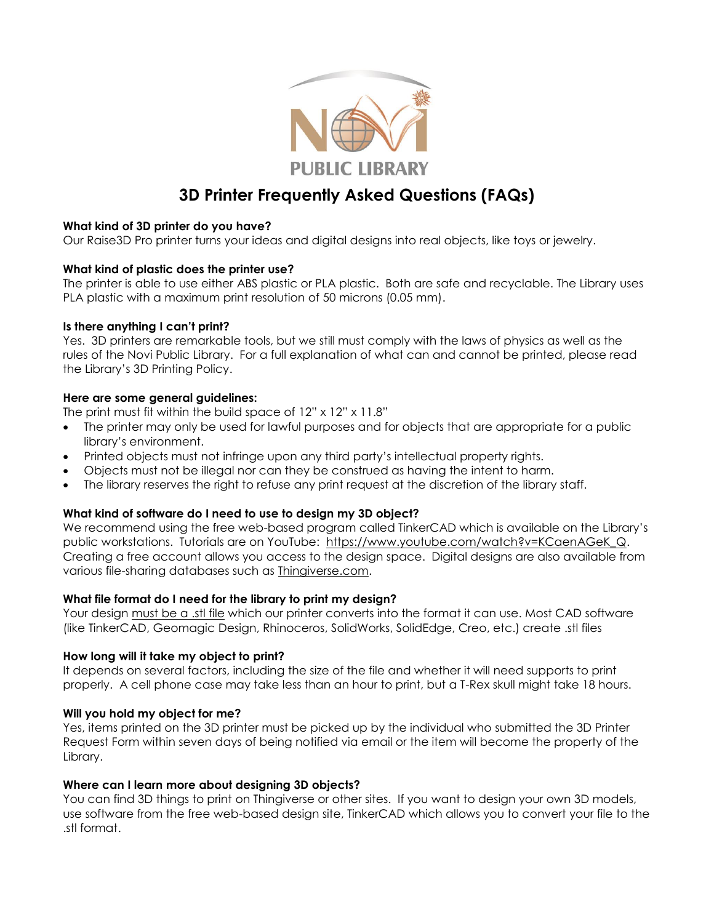

# **3D Printer Frequently Asked Questions (FAQs)**

#### **What kind of 3D printer do you have?**

Our Raise3D Pro printer turns your ideas and digital designs into real objects, like toys or jewelry.

#### **What kind of plastic does the printer use?**

The printer is able to use either ABS plastic or PLA plastic. Both are safe and recyclable. The Library uses PLA plastic with a maximum print resolution of 50 microns (0.05 mm).

### **Is there anything I can't print?**

Yes. 3D printers are remarkable tools, but we still must comply with the laws of physics as well as the rules of the Novi Public Library. For a full explanation of what can and cannot be printed, please read the Library's 3D Printing Policy.

### **Here are some general guidelines:**

The print must fit within the build space of  $12" \times 12" \times 11.8"$ 

- The printer may only be used for lawful purposes and for objects that are appropriate for a public library's environment.
- Printed objects must not infringe upon any third party's intellectual property rights.
- Objects must not be illegal nor can they be construed as having the intent to harm.
- The library reserves the right to refuse any print request at the discretion of the library staff.

### **What kind of software do I need to use to design my 3D object?**

We recommend using the free web-based program called TinkerCAD which is available on the Library's public workstations. Tutorials are on YouTube: [https://www.youtube.com/watch?v=KCaenAGeK\\_Q.](https://www.youtube.com/watch?v=KCaenAGeK_Q) Creating a free account allows you access to the design space. Digital designs are also available from various file-sharing databases such as [Thingiverse.com.](http://www.thingiverse.com/)

#### **What file format do I need for the library to print my design?**

Your design must be a .stl file which our printer converts into the format it can use. Most CAD software (like TinkerCAD, Geomagic Design, Rhinoceros, SolidWorks, SolidEdge, Creo, etc.) create .stl files

#### **How long will it take my object to print?**

It depends on several factors, including the size of the file and whether it will need supports to print properly. A cell phone case may take less than an hour to print, but a T-Rex skull might take 18 hours.

#### **Will you hold my object for me?**

Yes, items printed on the 3D printer must be picked up by the individual who submitted the 3D Printer Request Form within seven days of being notified via email or the item will become the property of the Library.

#### **Where can I learn more about designing 3D objects?**

You can find 3D things to print on Thingiverse or other sites. If you want to design your own 3D models, use software from the free web-based design site, TinkerCAD which allows you to convert your file to the .stl format.